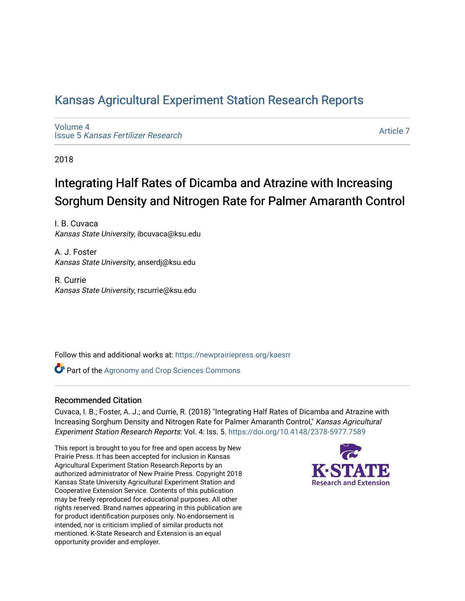### [Kansas Agricultural Experiment Station Research Reports](https://newprairiepress.org/kaesrr)

[Volume 4](https://newprairiepress.org/kaesrr/vol4) Issue 5 [Kansas Fertilizer Research](https://newprairiepress.org/kaesrr/vol4/iss5)

[Article 7](https://newprairiepress.org/kaesrr/vol4/iss5/7) 

2018

## Integrating Half Rates of Dicamba and Atrazine with Increasing Sorghum Density and Nitrogen Rate for Palmer Amaranth Control

I. B. Cuvaca Kansas State University, ibcuvaca@ksu.edu

A. J. Foster Kansas State University, anserdj@ksu.edu

R. Currie Kansas State University, rscurrie@ksu.edu

Follow this and additional works at: [https://newprairiepress.org/kaesrr](https://newprairiepress.org/kaesrr?utm_source=newprairiepress.org%2Fkaesrr%2Fvol4%2Fiss5%2F7&utm_medium=PDF&utm_campaign=PDFCoverPages) 

**Part of the Agronomy and Crop Sciences Commons** 

#### Recommended Citation

Cuvaca, I. B.; Foster, A. J.; and Currie, R. (2018) "Integrating Half Rates of Dicamba and Atrazine with Increasing Sorghum Density and Nitrogen Rate for Palmer Amaranth Control," Kansas Agricultural Experiment Station Research Reports: Vol. 4: Iss. 5. <https://doi.org/10.4148/2378-5977.7589>

This report is brought to you for free and open access by New Prairie Press. It has been accepted for inclusion in Kansas Agricultural Experiment Station Research Reports by an authorized administrator of New Prairie Press. Copyright 2018 Kansas State University Agricultural Experiment Station and Cooperative Extension Service. Contents of this publication may be freely reproduced for educational purposes. All other rights reserved. Brand names appearing in this publication are for product identification purposes only. No endorsement is intended, nor is criticism implied of similar products not mentioned. K-State Research and Extension is an equal opportunity provider and employer.

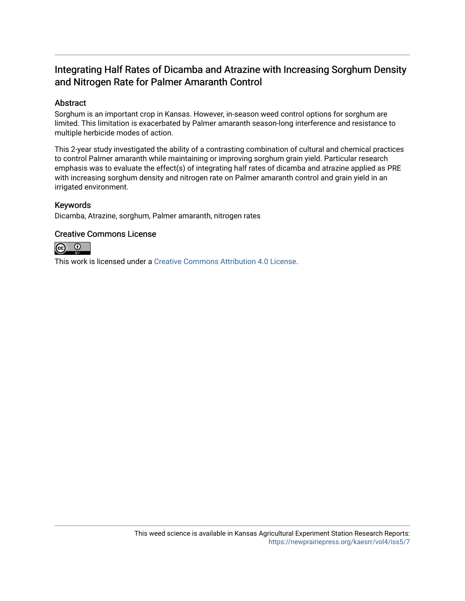### Integrating Half Rates of Dicamba and Atrazine with Increasing Sorghum Density and Nitrogen Rate for Palmer Amaranth Control

### Abstract

Sorghum is an important crop in Kansas. However, in-season weed control options for sorghum are limited. This limitation is exacerbated by Palmer amaranth season-long interference and resistance to multiple herbicide modes of action.

This 2-year study investigated the ability of a contrasting combination of cultural and chemical practices to control Palmer amaranth while maintaining or improving sorghum grain yield. Particular research emphasis was to evaluate the effect(s) of integrating half rates of dicamba and atrazine applied as PRE with increasing sorghum density and nitrogen rate on Palmer amaranth control and grain yield in an irrigated environment.

### Keywords

Dicamba, Atrazine, sorghum, Palmer amaranth, nitrogen rates

### Creative Commons License



This work is licensed under a [Creative Commons Attribution 4.0 License](https://creativecommons.org/licenses/by/4.0/).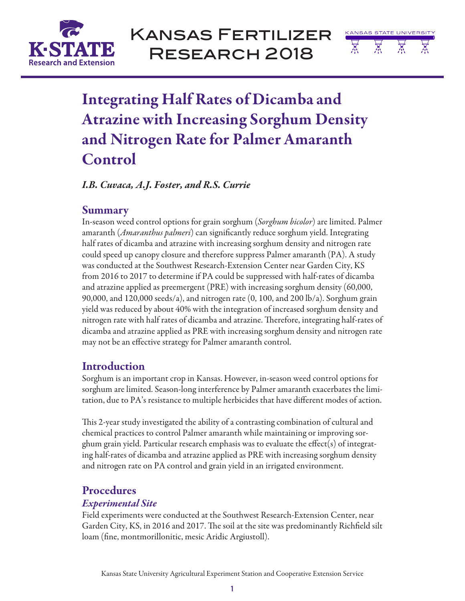

Kansas Fertilizer Research 2018



# Integrating Half Rates of Dicamba and Atrazine with Increasing Sorghum Density and Nitrogen Rate for Palmer Amaranth Control

*I.B. Cuvaca, A.J. Foster, and R.S. Currie*

### Summary

In-season weed control options for grain sorghum (*Sorghum bicolor*) are limited. Palmer amaranth (*Amaranthus palmeri*) can significantly reduce sorghum yield. Integrating half rates of dicamba and atrazine with increasing sorghum density and nitrogen rate could speed up canopy closure and therefore suppress Palmer amaranth (PA). A study was conducted at the Southwest Research-Extension Center near Garden City, KS from 2016 to 2017 to determine if PA could be suppressed with half-rates of dicamba and atrazine applied as preemergent (PRE) with increasing sorghum density (60,000, 90,000, and 120,000 seeds/a), and nitrogen rate (0, 100, and 200 lb/a). Sorghum grain yield was reduced by about 40% with the integration of increased sorghum density and nitrogen rate with half rates of dicamba and atrazine. Therefore, integrating half-rates of dicamba and atrazine applied as PRE with increasing sorghum density and nitrogen rate may not be an effective strategy for Palmer amaranth control.

### Introduction

Sorghum is an important crop in Kansas. However, in-season weed control options for sorghum are limited. Season-long interference by Palmer amaranth exacerbates the limitation, due to PA's resistance to multiple herbicides that have different modes of action.

This 2-year study investigated the ability of a contrasting combination of cultural and chemical practices to control Palmer amaranth while maintaining or improving sorghum grain yield. Particular research emphasis was to evaluate the effect(s) of integrating half-rates of dicamba and atrazine applied as PRE with increasing sorghum density and nitrogen rate on PA control and grain yield in an irrigated environment.

### Procedures

### *Experimental Site*

Field experiments were conducted at the Southwest Research-Extension Center, near Garden City, KS, in 2016 and 2017. The soil at the site was predominantly Richfield silt loam (fine, montmorillonitic, mesic Aridic Argiustoll).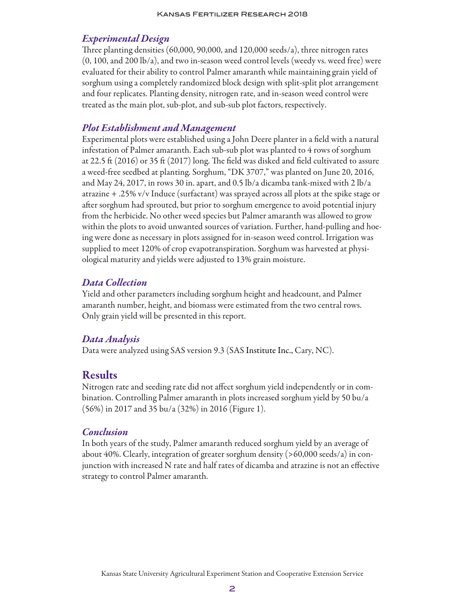### *Experimental Design*

Three planting densities (60,000, 90,000, and 120,000 seeds/a), three nitrogen rates (0, 100, and 200 lb/a), and two in-season weed control levels (weedy vs. weed free) were evaluated for their ability to control Palmer amaranth while maintaining grain yield of sorghum using a completely randomized block design with split-split plot arrangement and four replicates. Planting density, nitrogen rate, and in-season weed control were treated as the main plot, sub-plot, and sub-sub plot factors, respectively.

### *Plot Establishment and Management*

Experimental plots were established using a John Deere planter in a field with a natural infestation of Palmer amaranth. Each sub-sub plot was planted to 4 rows of sorghum at 22.5 ft (2016) or 35 ft (2017) long. The field was disked and field cultivated to assure a weed-free seedbed at planting. Sorghum, "DK 3707," was planted on June 20, 2016, and May 24, 2017, in rows 30 in. apart, and 0.5 lb/a dicamba tank-mixed with 2 lb/a atrazine + .25% v/v Induce (surfactant) was sprayed across all plots at the spike stage or after sorghum had sprouted, but prior to sorghum emergence to avoid potential injury from the herbicide. No other weed species but Palmer amaranth was allowed to grow within the plots to avoid unwanted sources of variation. Further, hand-pulling and hoeing were done as necessary in plots assigned for in-season weed control. Irrigation was supplied to meet 120% of crop evapotranspiration. Sorghum was harvested at physiological maturity and yields were adjusted to 13% grain moisture.

### *Data Collection*

Yield and other parameters including sorghum height and headcount, and Palmer amaranth number, height, and biomass were estimated from the two central rows. Only grain yield will be presented in this report.

#### *Data Analysis*

Data were analyzed using SAS version 9.3 (SAS Institute Inc., Cary, NC).

### Results

Nitrogen rate and seeding rate did not affect sorghum yield independently or in combination. Controlling Palmer amaranth in plots increased sorghum yield by 50 bu/a (56%) in 2017 and 35 bu/a (32%) in 2016 (Figure 1).

#### *Conclusion*

In both years of the study, Palmer amaranth reduced sorghum yield by an average of about 40%. Clearly, integration of greater sorghum density (>60,000 seeds/a) in conjunction with increased N rate and half rates of dicamba and atrazine is not an effective strategy to control Palmer amaranth.